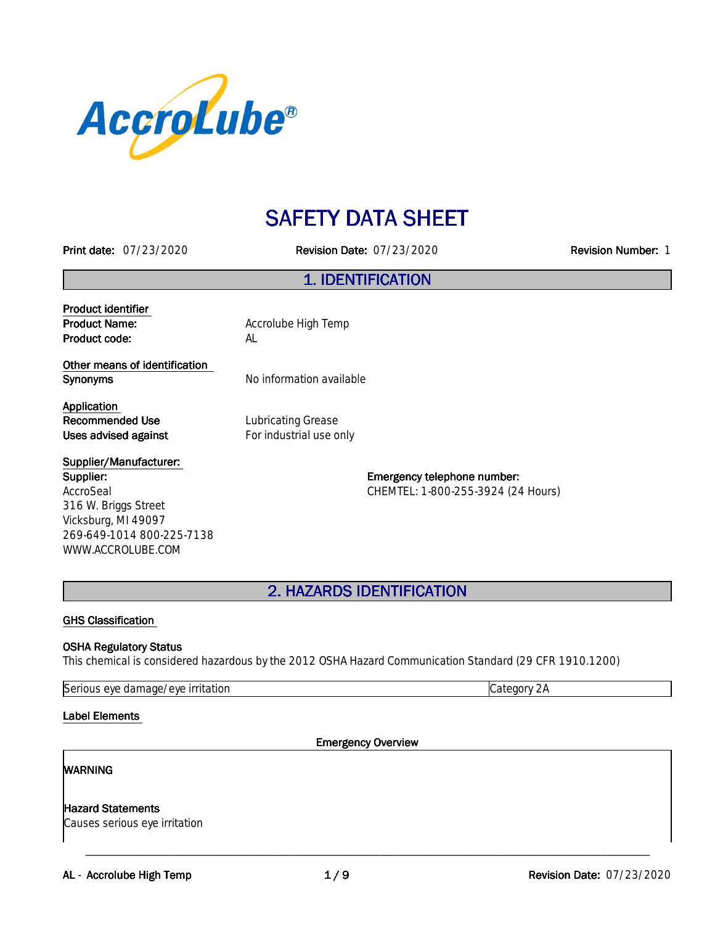

# **SAFETY DATA SHEET**

**Printdate:**07/23/2020 **RevisionDate:**07/23/2020 **RevisionNumber:**1

### **1.IDENTIFICATION**

**Product identifier Product code:** AL

**Product Name:** Accrolube High Temp

**Other means of identification Synonyms** No information available

**Application Recommended Use** Lubricating Grease **Uses advised against For industrial use only** 

**Supplier/Manufacturer: Supplier:** AccroSeal 316 W. Briggs Street Vicksburg, MI 49097 269-649-1014 800-225-7138 WWW.ACCROLUBE.COM

**Emergency telephone number:** CHEMTEL: 1-800-255-3924 (24 Hours)

**2.HAZARDSIDENTIFICATION**

#### **GHS Classification**

#### **OSHA Regulatory Status**

This chemical is considered hazardous by the 2012 OSHA Hazard Communication Standard (29 CFR 1910.1200)

Serious eye damage/eye irritation contraction contraction category 2A

**Label Elements** 

**Emergency Overview** 

\_\_\_\_\_\_\_\_\_\_\_\_\_\_\_\_\_\_\_\_\_\_\_\_\_\_\_\_\_\_\_\_\_\_\_\_\_\_\_\_\_\_\_\_\_\_\_\_\_\_\_\_\_\_\_\_\_\_\_\_\_\_\_\_\_\_\_\_\_\_\_\_\_\_\_\_\_\_\_\_\_\_\_\_\_\_\_

#### **WARNING**

Hazard Statements

Causes serious eye irritation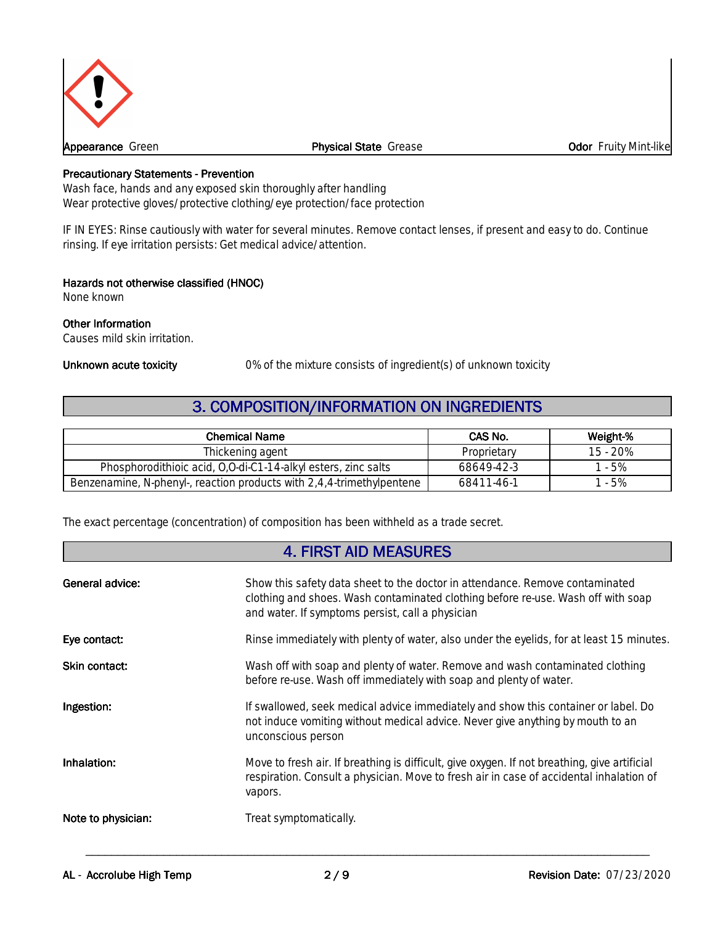

#### **Appearance** Green **Physical State** Grease **Odor** Fruity Mint-like

#### **Precautionary Statements - Prevention**

Wash face, hands and any exposed skin thoroughly after handling Wear protective gloves/protective clothing/eye protection/face protection

IF IN EYES: Rinse cautiously with water for several minutes. Remove contact lenses, if present and easy to do. Continue rinsing. If eye irritation persists: Get medical advice/attention.

#### **Hazards not otherwise classified (HNOC)**

None known

#### **Other Information**

Causes mild skin irritation.

**Unknown acute toxicity** 0% of the mixture consists of ingredient(s) of unknown toxicity

### **3. COMPOSITION/INFORMATION ON INGREDIENTS**

| <b>Chemical Name</b>                                                  | CAS No.     | Weight-% |
|-----------------------------------------------------------------------|-------------|----------|
| Thickening agent                                                      | Proprietary | 15 - 20% |
| Phosphorodithioic acid, O.O-di-C1-14-alkyl esters, zinc salts         | 68649-42-3  | $-5%$    |
| Benzenamine, N-phenyl-, reaction products with 2,4,4-trimethylpentene | 68411-46-1  | $-5%$    |

The exact percentage (concentration) of composition has been withheld as a trade secret.

### **4.FIRSTAIDMEASURES**

| <b>General advice:</b> | Show this safety data sheet to the doctor in attendance. Remove contaminated<br>clothing and shoes. Wash contaminated clothing before re-use. Wash off with soap<br>and water. If symptoms persist, call a physician |
|------------------------|----------------------------------------------------------------------------------------------------------------------------------------------------------------------------------------------------------------------|
| Eye contact:           | Rinse immediately with plenty of water, also under the eyelids, for at least 15 minutes.                                                                                                                             |
| Skin contact:          | Wash off with soap and plenty of water. Remove and wash contaminated clothing<br>before re-use. Wash off immediately with soap and plenty of water.                                                                  |
| Ingestion:             | If swallowed, seek medical advice immediately and show this container or label. Do<br>not induce vomiting without medical advice. Never give anything by mouth to an<br>unconscious person                           |
| Inhalation:            | Move to fresh air. If breathing is difficult, give oxygen. If not breathing, give artificial<br>respiration. Consult a physician. Move to fresh air in case of accidental inhalation of<br>vapors.                   |
| Note to physician:     | Treat symptomatically.                                                                                                                                                                                               |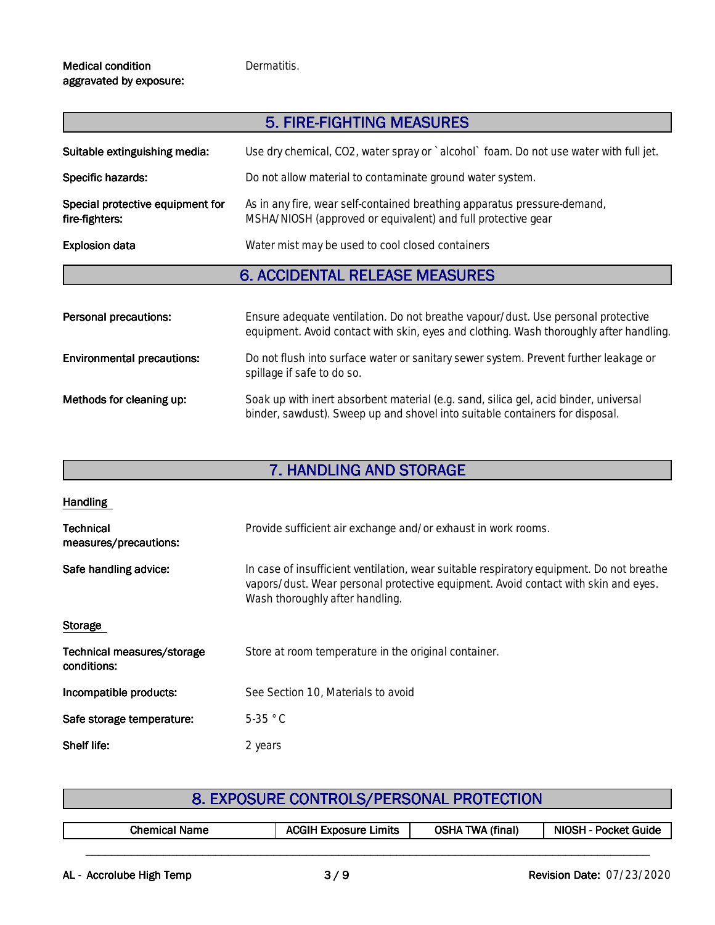Dermatitis.

#### **Medical condition** aggravated by exposure:

|                                                    | 5. FIRE-FIGHTING MEASURES                                                                                                                |
|----------------------------------------------------|------------------------------------------------------------------------------------------------------------------------------------------|
| Suitable extinguishing media:                      | Use dry chemical, CO2, water spray or `alcohol` foam. Do not use water with full jet.                                                    |
| Specific hazards:                                  | Do not allow material to contaminate ground water system.                                                                                |
| Special protective equipment for<br>fire-fighters: | As in any fire, wear self-contained breathing apparatus pressure-demand,<br>MSHA/NIOSH (approved or equivalent) and full protective gear |

**Explosion data** Water mist may be used to cool closed containers

# **6. ACCIDENTAL RELEASE MEASURES**

| Personal precautions:             | Ensure adequate ventilation. Do not breathe vapour/dust. Use personal protective<br>equipment. Avoid contact with skin, eyes and clothing. Wash thoroughly after handling. |
|-----------------------------------|----------------------------------------------------------------------------------------------------------------------------------------------------------------------------|
| <b>Environmental precautions:</b> | Do not flush into surface water or sanitary sewer system. Prevent further leakage or<br>spillage if safe to do so.                                                         |
| Methods for cleaning up:          | Soak up with inert absorbent material (e.g. sand, silica gel, acid binder, universal<br>binder, sawdust). Sweep up and shovel into suitable containers for disposal.       |

# **7. HANDLING AND STORAGE**

| <b>Handling</b>                           |                                                                                                                                                                                                                   |
|-------------------------------------------|-------------------------------------------------------------------------------------------------------------------------------------------------------------------------------------------------------------------|
| <b>Technical</b><br>measures/precautions: | Provide sufficient air exchange and/or exhaust in work rooms.                                                                                                                                                     |
| Safe handling advice:                     | In case of insufficient ventilation, wear suitable respiratory equipment. Do not breathe<br>vapors/dust. Wear personal protective equipment. Avoid contact with skin and eyes.<br>Wash thoroughly after handling. |
| Storage                                   |                                                                                                                                                                                                                   |
| Technical measures/storage<br>conditions: | Store at room temperature in the original container.                                                                                                                                                              |
| Incompatible products:                    | See Section 10, Materials to avoid                                                                                                                                                                                |
| Safe storage temperature:                 | $5-35$ °C                                                                                                                                                                                                         |
| Shelf life:                               | 2 years                                                                                                                                                                                                           |

| 8. EXPOSURE CONTROLS/PERSONAL PROTECTION |  |
|------------------------------------------|--|
|------------------------------------------|--|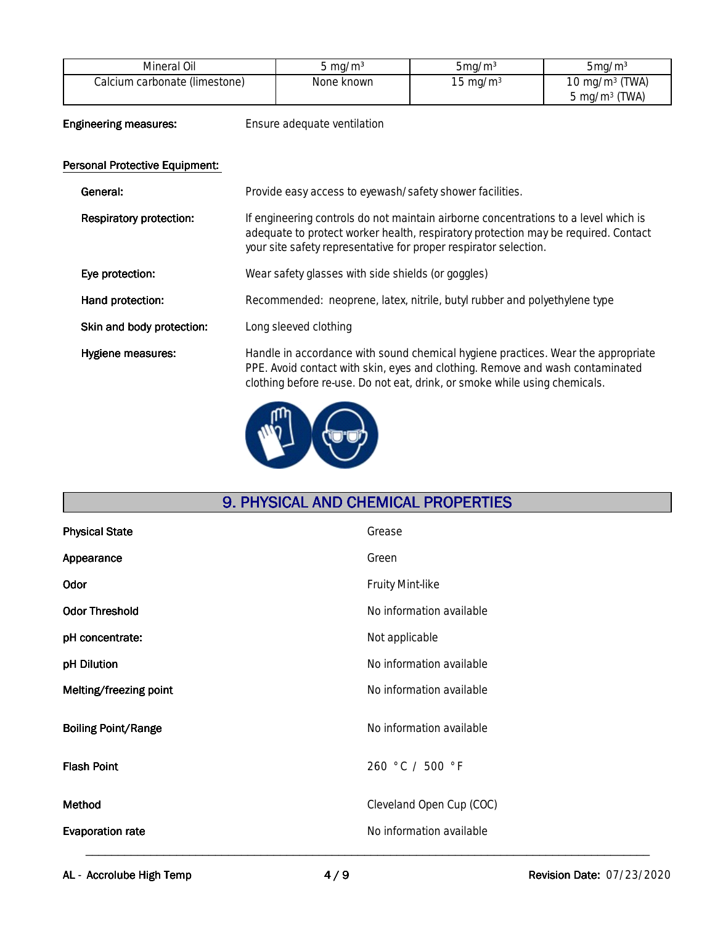| Mineral Oil                   | $\sigma$ ma/m <sup>3</sup> | $5$ ma/m $3$        | $5$ ma/m <sup>3</sup>    |
|-------------------------------|----------------------------|---------------------|--------------------------|
| Calcium carbonate (limestone) | None known                 | $15 \text{ ma/m}^3$ | 10 mg/m $3$ (TWA)        |
|                               |                            |                     | $5 \text{ mg/m}^3$ (TWA) |

**Engineering measures:** Ensure adequate ventilation

### **Personal Protective Equipment:**

| General:                       | Provide easy access to eyewash/safety shower facilities.                                                                                                                                                                                        |
|--------------------------------|-------------------------------------------------------------------------------------------------------------------------------------------------------------------------------------------------------------------------------------------------|
| <b>Respiratory protection:</b> | If engineering controls do not maintain airborne concentrations to a level which is<br>adequate to protect worker health, respiratory protection may be required. Contact<br>your site safety representative for proper respirator selection.   |
| Eye protection:                | Wear safety glasses with side shields (or goggles)                                                                                                                                                                                              |
| Hand protection:               | Recommended: neoprene, latex, nitrile, butyl rubber and polyethylene type                                                                                                                                                                       |
| Skin and body protection:      | Long sleeved clothing                                                                                                                                                                                                                           |
| Hygiene measures:              | Handle in accordance with sound chemical hygiene practices. Wear the appropriate<br>PPE. Avoid contact with skin, eyes and clothing. Remove and wash contaminated<br>clothing before re-use. Do not eat, drink, or smoke while using chemicals. |
|                                |                                                                                                                                                                                                                                                 |



# **9. PHYSICAL AND CHEMICAL PROPERTIES**

| <b>Physical State</b>      | Grease                   |
|----------------------------|--------------------------|
| Appearance                 | Green                    |
| Odor                       | Fruity Mint-like         |
| <b>Odor Threshold</b>      | No information available |
| pH concentrate:            | Not applicable           |
| pH Dilution                | No information available |
| Melting/freezing point     | No information available |
| <b>Boiling Point/Range</b> | No information available |
| <b>Flash Point</b>         | 260 °C / 500 °F          |
| Method                     | Cleveland Open Cup (COC) |
| <b>Evaporation rate</b>    | No information available |
|                            |                          |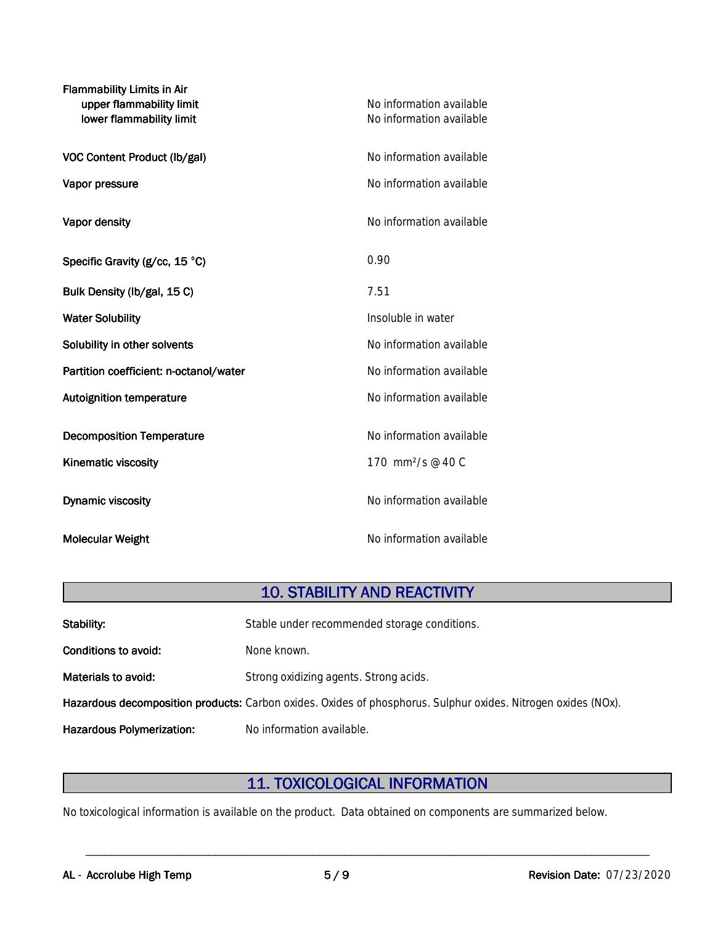| <b>Flammability Limits in Air</b><br>upper flammability limit<br>lower flammability limit | No information available<br>No information available |
|-------------------------------------------------------------------------------------------|------------------------------------------------------|
| VOC Content Product (lb/gal)                                                              | No information available                             |
| Vapor pressure                                                                            | No information available                             |
| Vapor density                                                                             | No information available                             |
| Specific Gravity (g/cc, 15 °C)                                                            | 0.90                                                 |
| Bulk Density (lb/gal, 15 C)                                                               | 7.51                                                 |
| <b>Water Solubility</b>                                                                   | Insoluble in water                                   |
| Solubility in other solvents                                                              | No information available                             |
| Partition coefficient: n-octanol/water                                                    | No information available                             |
| <b>Autoignition temperature</b>                                                           | No information available                             |
| <b>Decomposition Temperature</b>                                                          | No information available                             |
| <b>Kinematic viscosity</b>                                                                | 170 mm <sup>2</sup> /s @ 40 C                        |
| <b>Dynamic viscosity</b>                                                                  | No information available                             |
| <b>Molecular Weight</b>                                                                   | No information available                             |

# **10. STABILITY AND REACTIVITY**

| Stability:                       | Stable under recommended storage conditions.                                                                  |
|----------------------------------|---------------------------------------------------------------------------------------------------------------|
| Conditions to avoid:             | None known.                                                                                                   |
| Materials to avoid:              | Strong oxidizing agents. Strong acids.                                                                        |
|                                  | Hazardous decomposition products: Carbon oxides. Oxides of phosphorus. Sulphur oxides. Nitrogen oxides (NOx). |
| <b>Hazardous Polymerization:</b> | No information available.                                                                                     |

# **11.TOXICOLOGICALINFORMATION**

\_\_\_\_\_\_\_\_\_\_\_\_\_\_\_\_\_\_\_\_\_\_\_\_\_\_\_\_\_\_\_\_\_\_\_\_\_\_\_\_\_\_\_\_\_\_\_\_\_\_\_\_\_\_\_\_\_\_\_\_\_\_\_\_\_\_\_\_\_\_\_\_\_\_\_\_\_\_\_\_\_\_\_\_\_\_\_

No toxicological information is available on the product. Data obtained on components are summarized below.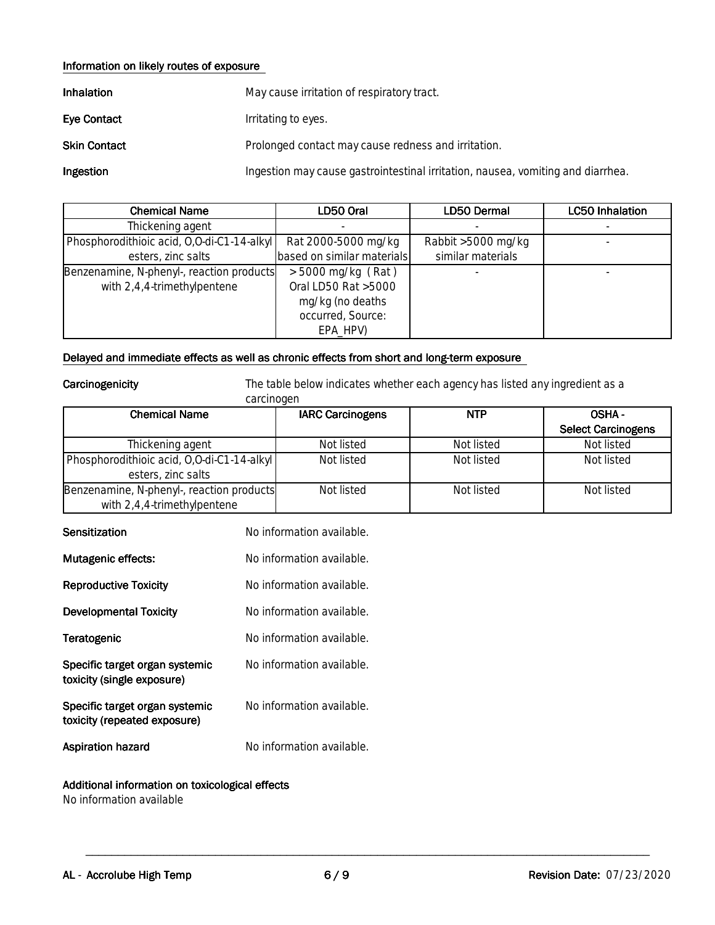#### **Information on likely routes of exposure**

| Inhalation         | May cause irritation of respiratory tract.                                      |
|--------------------|---------------------------------------------------------------------------------|
| <b>Eye Contact</b> | Irritating to eyes.                                                             |
| Skin Contact       | Prolonged contact may cause redness and irritation.                             |
| Ingestion          | Ingestion may cause gastrointestinal irritation, nausea, vomiting and diarrhea. |

| <b>Chemical Name</b>                       | LD50 Oral                  | LD50 Dermal        | <b>LC50 Inhalation</b> |
|--------------------------------------------|----------------------------|--------------------|------------------------|
| Thickening agent                           |                            |                    |                        |
| Phosphorodithioic acid, 0,0-di-C1-14-alkyl | Rat 2000-5000 mg/kg        | Rabbit >5000 mg/kg |                        |
| esters, zinc salts                         | based on similar materials | similar materials  |                        |
| Benzenamine, N-phenyl-, reaction products  | $>$ 5000 mg/kg (Rat)       |                    |                        |
| with $2,4,4$ -trimethylpentene             | Oral LD50 Rat >5000        |                    |                        |
|                                            | mg/kg (no deaths           |                    |                        |
|                                            | occurred, Source:          |                    |                        |
|                                            | EPA_HPV)                   |                    |                        |

#### Delayed and immediate effects as well as chronic effects from short and long-term exposure

carcinogen

**Carcinogenicity** The table below indicates whether each agency has listed any ingredient as a

| carcinogen                                 |                         |            |                           |
|--------------------------------------------|-------------------------|------------|---------------------------|
| Chemical Name                              | <b>IARC Carcinogens</b> | <b>NTP</b> | <b>OSHA-</b>              |
|                                            |                         |            | <b>Select Carcinogens</b> |
| Thickening agent                           | Not listed              | Not listed | Not listed                |
| Phosphorodithioic acid, 0,0-di-C1-14-alkyl | Not listed              | Not listed | Not listed                |
| esters, zinc salts                         |                         |            |                           |
| Benzenamine, N-phenyl-, reaction products  | Not listed              | Not listed | Not listed                |
| with 2,4,4-trimethylpentene                |                         |            |                           |

| Sensitization                                                  | No information available. |
|----------------------------------------------------------------|---------------------------|
| <b>Mutagenic effects:</b>                                      | No information available. |
| <b>Reproductive Toxicity</b>                                   | No information available. |
| <b>Developmental Toxicity</b>                                  | No information available. |
| Teratogenic                                                    | No information available. |
| Specific target organ systemic<br>toxicity (single exposure)   | No information available. |
| Specific target organ systemic<br>toxicity (repeated exposure) | No information available. |
| Aspiration hazard                                              | No information available. |

#### **Additional information on toxicological effects**

No information available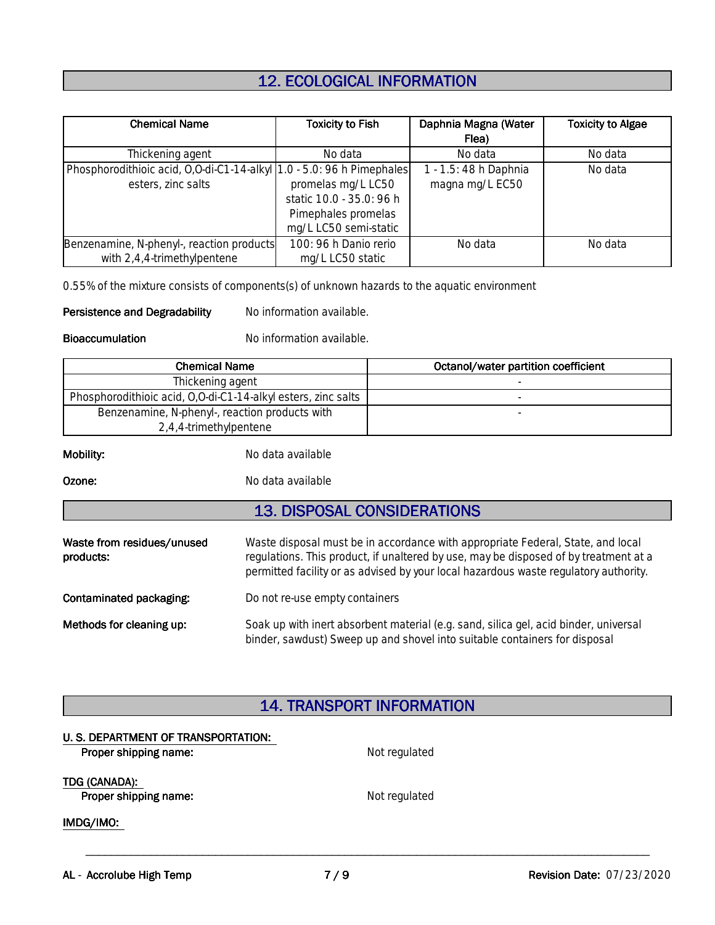# **12. ECOLOGICAL INFORMATION**

| <b>Chemical Name</b>                                                                        | <b>Toxicity to Fish</b>                                                                        | Daphnia Magna (Water                     | <b>Toxicity to Algae</b> |
|---------------------------------------------------------------------------------------------|------------------------------------------------------------------------------------------------|------------------------------------------|--------------------------|
|                                                                                             |                                                                                                | Flea)                                    |                          |
| Thickening agent                                                                            | No data                                                                                        | No data                                  | No data                  |
| Phosphorodithioic acid, 0,0-di-C1-14-alkyl 1.0 - 5.0: 96 h Pimephales<br>esters, zinc salts | promelas mg/L LC50<br>static 10.0 - 35.0: 96 h<br>Pimephales promelas<br>mg/L LC50 semi-static | I - 1.5: 48 h Daphnia<br>magna mg/L EC50 | No data                  |
| Benzenamine, N-phenyl-, reaction products<br>with $2,4,4$ -trimethylpentene                 | 100: 96 h Danio rerio<br>mg/L LC50 static                                                      | No data                                  | No data                  |

0.55% of the mixture consists of components(s) of unknown hazards to the aquatic environment

**Persistence and Degradability** No information available.

**Bioaccumulation** No information available.

| <b>Chemical Name</b>                                          | Octanol/water partition coefficient |
|---------------------------------------------------------------|-------------------------------------|
| Thickening agent                                              |                                     |
| Phosphorodithioic acid, 0,0-di-C1-14-alkyl esters, zinc salts |                                     |
| Benzenamine, N-phenyl-, reaction products with                |                                     |
| 2,4,4-trimethylpentene                                        |                                     |

**Mobility:** No data available

**Ozone:** No data available

### **13. DISPOSAL CONSIDERATIONS**

| Waste from residues/unused<br>products: | Waste disposal must be in accordance with appropriate Federal, State, and local<br>regulations. This product, if unaltered by use, may be disposed of by treatment at a<br>permitted facility or as advised by your local hazardous waste regulatory authority. |
|-----------------------------------------|-----------------------------------------------------------------------------------------------------------------------------------------------------------------------------------------------------------------------------------------------------------------|
| Contaminated packaging:                 | Do not re-use empty containers                                                                                                                                                                                                                                  |
| Methods for cleaning up:                | Soak up with inert absorbent material (e.g. sand, silica gel, acid binder, universal<br>binder, sawdust) Sweep up and shovel into suitable containers for disposal                                                                                              |

### **14.TRANSPORTINFORMATION**

| U. S. DEPARTMENT OF TRANSPORTATION: |               |  |
|-------------------------------------|---------------|--|
| Proper shipping name:               | Not regulated |  |
| TDG (CANADA):                       |               |  |
| Proper shipping name:               | Not regulated |  |
| IMDG/IMO:                           |               |  |
|                                     |               |  |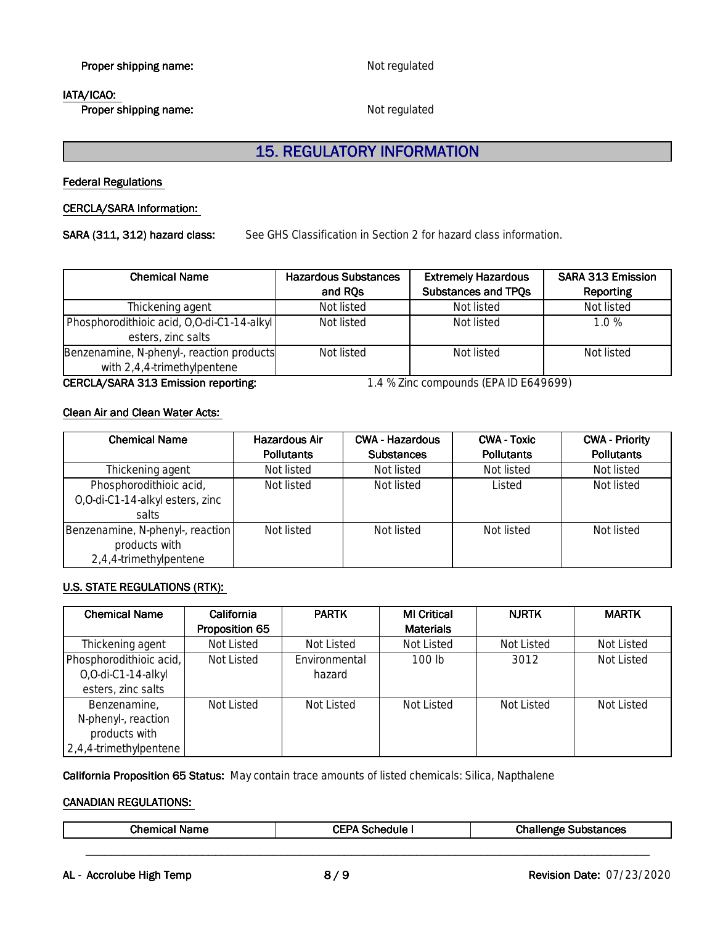**Proper shipping name:** Not regulated

#### **IATA/ICAO:**

**Proper shipping name:** Not regulated

# **15. REGULATORY INFORMATION**

**Federal Regulations** 

#### **CERCLA/SARAInformation:**

SARA (311, 312) hazard class: See GHS Classification in Section 2 for hazard class information.

| <b>Chemical Name</b>                                                     | <b>Hazardous Substances</b> | <b>Extremely Hazardous</b> | <b>SARA 313 Emission</b> |
|--------------------------------------------------------------------------|-----------------------------|----------------------------|--------------------------|
|                                                                          | and RQs                     | Substances and TPQs        | Reporting                |
| Thickening agent                                                         | Not listed                  | Not listed                 | Not listed               |
| Phosphorodithioic acid, 0,0-di-C1-14-alkyl<br>esters, zinc salts         | Not listed                  | Not listed                 | 1.0 %                    |
| Benzenamine, N-phenyl-, reaction products<br>with 2,4,4-trimethylpentene | Not listed                  | Not listed                 | Not listed               |

#### **CERCLA/SARA 313 Emission reporting:** 1.4 % Zinc compounds (EPA ID E649699)

#### **CleanAirandCleanWaterActs:**

| <b>Chemical Name</b>                                                        | <b>Hazardous Air</b><br><b>Pollutants</b> | <b>CWA - Hazardous</b><br><b>Substances</b> | <b>CWA - Toxic</b><br><b>Pollutants</b> | <b>CWA - Priority</b><br><b>Pollutants</b> |
|-----------------------------------------------------------------------------|-------------------------------------------|---------------------------------------------|-----------------------------------------|--------------------------------------------|
| Thickening agent                                                            | Not listed                                | Not listed                                  | Not listed                              | Not listed                                 |
| Phosphorodithioic acid,<br>O, O-di-C1-14-alkyl esters, zinc<br>salts        | Not listed                                | Not listed                                  | Listed                                  | Not listed                                 |
| Benzenamine, N-phenyl-, reaction<br>products with<br>2,4,4-trimethylpentene | Not listed                                | Not listed                                  | Not listed                              | Not listed                                 |

#### **U.S. STATE REGULATIONS (RTK):**

| <b>Chemical Name</b>       | California     | <b>PARTK</b>  | <b>MI Critical</b> | <b>NJRTK</b> | <b>MARTK</b> |
|----------------------------|----------------|---------------|--------------------|--------------|--------------|
|                            | Proposition 65 |               | <b>Materials</b>   |              |              |
| Thickening agent           | Not Listed     | Not Listed    | Not Listed         | Not Listed   | Not Listed   |
| Phosphorodithioic acid,    | Not Listed     | Environmental | $100$ lb           | 3012         | Not Listed   |
| O,O-di-C1-14-alkyl         |                | hazard        |                    |              |              |
| esters, zinc salts         |                |               |                    |              |              |
| Benzenamine,               | Not Listed     | Not Listed    | Not Listed         | Not Listed   | Not Listed   |
| N-phenyl-, reaction        |                |               |                    |              |              |
| products with              |                |               |                    |              |              |
| $ 2,4,4$ -trimethylpentene |                |               |                    |              |              |

California Proposition 65 Status: May contain trace amounts of listed chemicals: Silica, Napthalene

#### **CANADIAN REGULATIONS:**

|--|